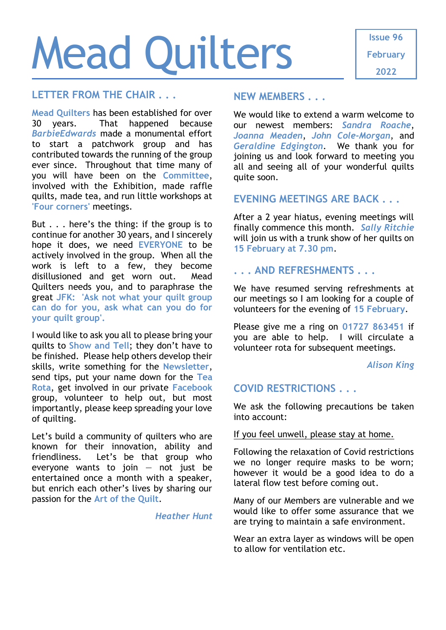# Mead Quilters

#### **LETTER FROM THE CHAIR . . .**

**Mead Quilters** has been established for over 30 years. That happened because *BarbieEdwards* made a monumental effort to start a patchwork group and has contributed towards the running of the group ever since. Throughout that time many of you will have been on the **Committee**, involved with the Exhibition, made raffle quilts, made tea, and run little workshops at **'Four corners'** meetings.

But . . . here's the thing: if the group is to continue for another 30 years, and I sincerely hope it does, we need **EVERYONE** to be actively involved in the group. When all the work is left to a few, they become disillusioned and get worn out. Mead Quilters needs you, and to paraphrase the great **JFK: 'Ask not what your quilt group can do for you, ask what can you do for your quilt group'.**

I would like to ask you all to please bring your quilts to **Show and Tell**; they don't have to be finished. Please help others develop their skills, write something for the **Newsletter**, send tips, put your name down for the **Tea Rota**, get involved in our private **Facebook** group, volunteer to help out, but most importantly, please keep spreading your love of quilting.

Let's build a community of quilters who are known for their innovation, ability and friendliness. Let's be that group who everyone wants to join  $-$  not just be entertained once a month with a speaker, but enrich each other's lives by sharing our passion for the **Art of the Quilt**.

#### *Heather Hunt*

#### **NEW MEMBERS . . .**

We would like to extend a warm welcome to our newest members: *Sandra Roache*, *Joanna Meaden*, *John Cole-Morgan*, and *Geraldine Edgington*. We thank you for joining us and look forward to meeting you all and seeing all of your wonderful quilts quite soon.

### **EVENING MEETINGS ARE BACK . . .**

After a 2 year hiatus, evening meetings will finally commence this month. *Sally Ritchie* will join us with a trunk show of her quilts on **15 February at 7.30 pm**.

## **. . . AND REFRESHMENTS . . .**

We have resumed serving refreshments at our meetings so I am looking for a couple of volunteers for the evening of **15 February**.

Please give me a ring on **01727 863451** if you are able to help. I will circulate a volunteer rota for subsequent meetings.

#### *Alison King*

## **COVID RESTRICTIONS . . .**

We ask the following precautions be taken into account:

#### If you feel unwell, please stay at home.

Following the relaxation of Covid restrictions we no longer require masks to be worn; however it would be a good idea to do a lateral flow test before coming out.

Many of our Members are vulnerable and we would like to offer some assurance that we are trying to maintain a safe environment.

Wear an extra layer as windows will be open to allow for ventilation etc.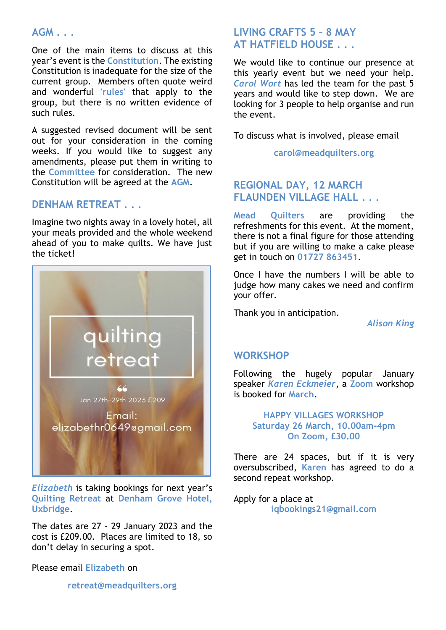### **AGM . . .**

One of the main items to discuss at this year's event is the **Constitution**. The existing Constitution is inadequate for the size of the current group. Members often quote weird and wonderful **'rules'** that apply to the group, but there is no written evidence of such rules.

A suggested revised document will be sent out for your consideration in the coming weeks. If you would like to suggest any amendments, please put them in writing to the **Committee** for consideration. The new Constitution will be agreed at the **AGM**.

### **DENHAM RETREAT . . .**

Imagine two nights away in a lovely hotel, all your meals provided and the whole weekend ahead of you to make quilts. We have just the ticket!



*Elizabeth* is taking bookings for next year's **Quilting Retreat** at **Denham Grove Hotel, Uxbridge**.

The dates are 27 - 29 January 2023 and the cost is £209.00. Places are limited to 18, so don't delay in securing a spot.

Please email **Elizabeth** on

#### **[retreat@meadquilters.org](mailto:retreat@meadquilters.org)**

## **LIVING CRAFTS 5 – 8 MAY AT HATFIELD HOUSE . . .**

We would like to continue our presence at this yearly event but we need your help. *Carol Wort* has led the team for the past 5 years and would like to step down. We are looking for 3 people to help organise and run the event.

To discuss what is involved, please email

**[carol@meadquilters.org](mailto:carol@meadquilters.org)**

## **REGIONAL DAY, 12 MARCH FLAUNDEN VILLAGE HALL . . .**

**Mead Quilters** are providing the refreshments for this event. At the moment, there is not a final figure for those attending but if you are willing to make a cake please get in touch on **01727 863451**.

Once I have the numbers I will be able to judge how many cakes we need and confirm your offer.

Thank you in anticipation.

*Alison King*

#### **WORKSHOP**

Following the hugely popular January speaker *Karen Eckmeier*, a **Zoom** workshop is booked for **March**.

> **HAPPY VILLAGES WORKSHOP Saturday 26 March, 10.00am-4pm On Zoom, £30.00**

There are 24 spaces, but if it is very oversubscribed, **Karen** has agreed to do a second repeat workshop.

Apply for a place at **[iqbookings21@gmail.com](mailto:iqbookings21@gmail.com)**